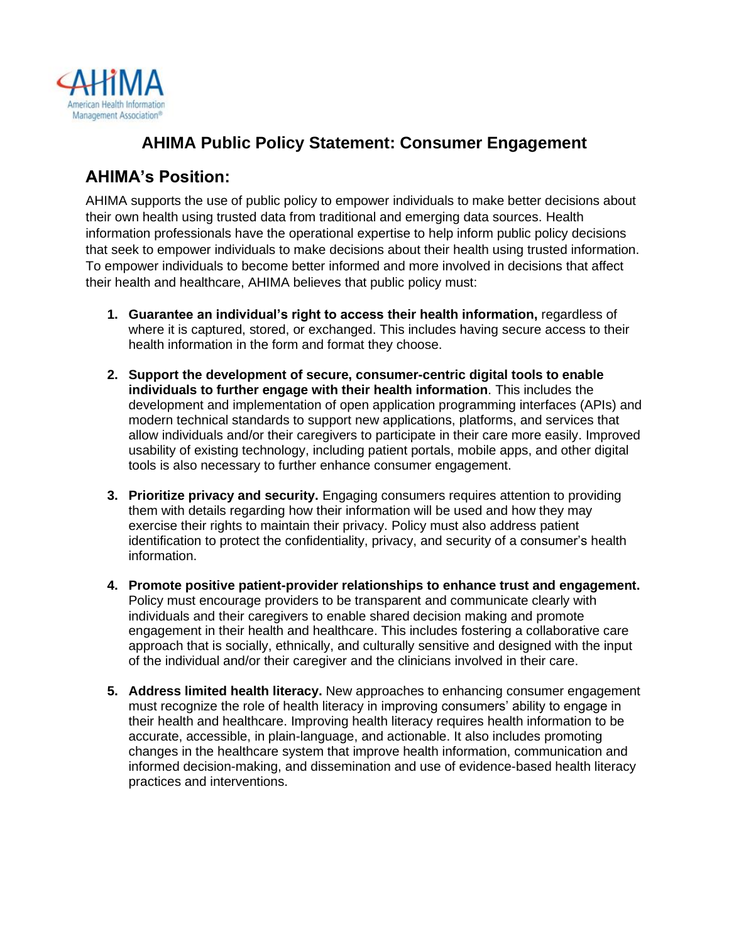

# **AHIMA Public Policy Statement: Consumer Engagement**

### **AHIMA's Position:**

AHIMA supports the use of public policy to empower individuals to make better decisions about their own health using trusted data from traditional and emerging data sources. Health information professionals have the operational expertise to help inform public policy decisions that seek to empower individuals to make decisions about their health using trusted information. To empower individuals to become better informed and more involved in decisions that affect their health and healthcare, AHIMA believes that public policy must:

- **1. Guarantee an individual's right to access their health information,** regardless of where it is captured, stored, or exchanged. This includes having secure access to their health information in the form and format they choose.
- **2. Support the development of secure, consumer-centric digital tools to enable individuals to further engage with their health information**. This includes the development and implementation of open application programming interfaces (APIs) and modern technical standards to support new applications, platforms, and services that allow individuals and/or their caregivers to participate in their care more easily. Improved usability of existing technology, including patient portals, mobile apps, and other digital tools is also necessary to further enhance consumer engagement.
- **3. Prioritize privacy and security.** Engaging consumers requires attention to providing them with details regarding how their information will be used and how they may exercise their rights to maintain their privacy. Policy must also address patient identification to protect the confidentiality, privacy, and security of a consumer's health information.
- **4. Promote positive patient-provider relationships to enhance trust and engagement.** Policy must encourage providers to be transparent and communicate clearly with individuals and their caregivers to enable shared decision making and promote engagement in their health and healthcare. This includes fostering a collaborative care approach that is socially, ethnically, and culturally sensitive and designed with the input of the individual and/or their caregiver and the clinicians involved in their care.
- **5. Address limited health literacy.** New approaches to enhancing consumer engagement must recognize the role of health literacy in improving consumers' ability to engage in their health and healthcare. Improving health literacy requires health information to be accurate, accessible, in plain-language, and actionable. It also includes promoting changes in the healthcare system that improve health information, communication and informed decision-making, and dissemination and use of evidence-based health literacy practices and interventions.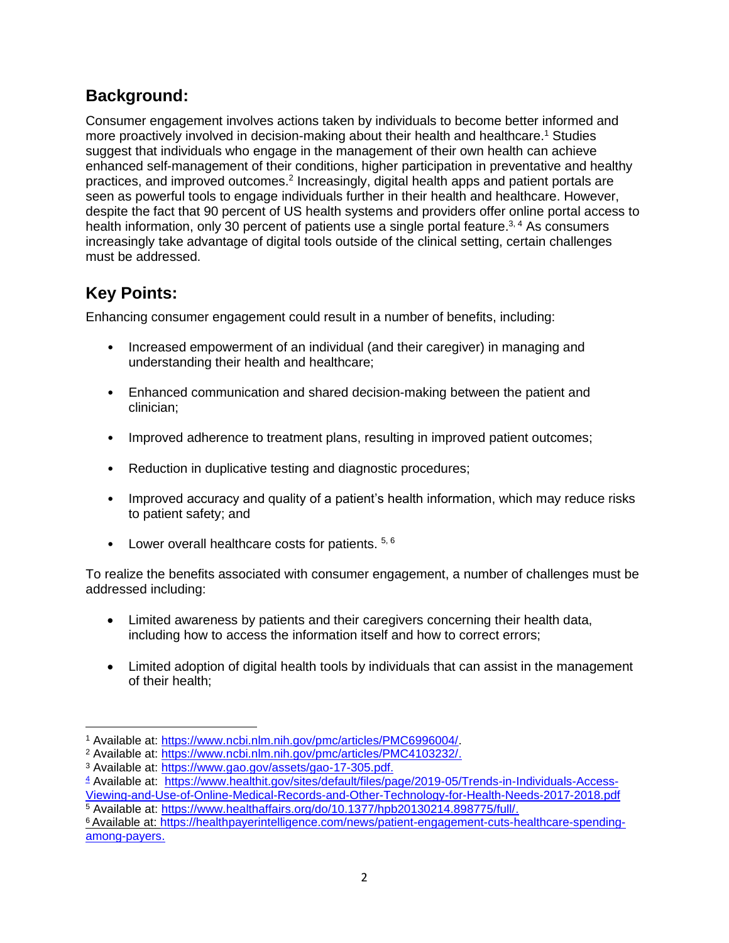## **Background:**

Consumer engagement involves actions taken by individuals to become better informed and more proactively involved in decision-making about their health and healthcare.<sup>1</sup> Studies suggest that individuals who engage in the management of their own health can achieve enhanced self-management of their conditions, higher participation in preventative and healthy practices, and improved outcomes.<sup>2</sup> Increasingly, digital health apps and patient portals are seen as powerful tools to engage individuals further in their health and healthcare. However, despite the fact that 90 percent of US health systems and providers offer online portal access to health information, only 30 percent of patients use a single portal feature.<sup>3, 4</sup> As consumers increasingly take advantage of digital tools outside of the clinical setting, certain challenges must be addressed.

## **Key Points:**

Enhancing consumer engagement could result in a number of benefits, including:

- Increased empowerment of an individual (and their caregiver) in managing and understanding their health and healthcare;
- Enhanced communication and shared decision-making between the patient and clinician;
- Improved adherence to treatment plans, resulting in improved patient outcomes;
- Reduction in duplicative testing and diagnostic procedures;
- Improved accuracy and quality of a patient's health information, which may reduce risks to patient safety; and
- Lower overall healthcare costs for patients.  $5, 6$

To realize the benefits associated with consumer engagement, a number of challenges must be addressed including:

- Limited awareness by patients and their caregivers concerning their health data, including how to access the information itself and how to correct errors;
- Limited adoption of digital health tools by individuals that can assist in the management of their health;

<sup>1</sup> Available at: [https://www.ncbi.nlm.nih.gov/pmc/articles/PMC6996004/.](https://www.ncbi.nlm.nih.gov/pmc/articles/PMC6996004/)

<sup>2</sup> Available at: [https://www.ncbi.nlm.nih.gov/pmc/articles/PMC4103232/.](https://www.ncbi.nlm.nih.gov/pmc/articles/PMC4103232/)

<sup>3</sup> Available at: [https://www.gao.gov/assets/gao-17-305.pdf.](https://www.gao.gov/assets/gao-17-305.pdf.%204) 

[<sup>4</sup>](https://www.gao.gov/assets/gao-17-305.pdf.%204) Available at: [https://www.healthit.gov/sites/default/files/page/2019-05/Trends-in-Individuals-Access-](https://www.healthit.gov/sites/default/files/page/2019-05/Trends-in-Individuals-Access-Viewing-and-Use-of-Online-Medical-Records-and-Other-Technology-for-Health-Needs-2017-2018.pdf)

[Viewing-and-Use-of-Online-Medical-Records-and-Other-Technology-for-Health-Needs-2017-2018.pdf](https://www.healthit.gov/sites/default/files/page/2019-05/Trends-in-Individuals-Access-Viewing-and-Use-of-Online-Medical-Records-and-Other-Technology-for-Health-Needs-2017-2018.pdf) <sup>5</sup> Available at: [https://www.healthaffairs.org/do/10.1377/hpb20130214.898775/full/.](https://www.healthaffairs.org/do/10.1377/hpb20130214.898775/full/)

<sup>6</sup>Available at: [https://healthpayerintelligence.com/news/patient-engagement-cuts-healthcare-spending](https://healthpayerintelligence.com/news/patient-engagement-cuts-healthcare-spending-among-payers)[among-payers.](https://healthpayerintelligence.com/news/patient-engagement-cuts-healthcare-spending-among-payers)